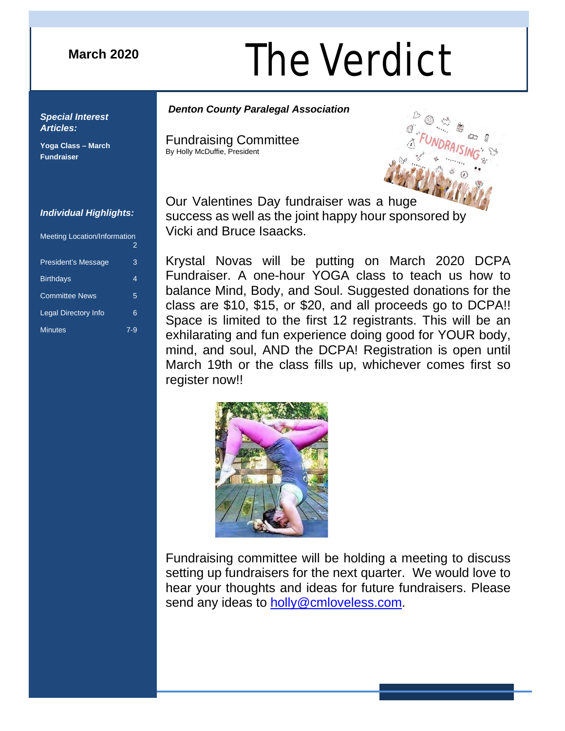## **March 2020**

# **August 2016** The Verdict

# *Denton County Paralegal Association Special Interest*

Fundraising Committee By Holly McDuffie, President



Our Valentines Day fundraiser was a huge success as well as the joint happy hour sponsored by Vicki and Bruce Isaacks.

Krystal Novas will be putting on March 2020 DCPA Fundraiser. A one-hour YOGA class to teach us how to balance Mind, Body, and Soul. Suggested donations for the class are \$10, \$15, or \$20, and all proceeds go to DCPA!! Space is limited to the first 12 registrants. This will be an exhilarating and fun experience doing good for YOUR body, mind, and soul, AND the DCPA! Registration is open until March 19th or the class fills up, whichever comes first so register now!!



Fundraising committee will be holding a meeting to discuss setting up fundraisers for the next quarter. We would love to hear your thoughts and ideas for future fundraisers. Please send any ideas to [holly@cmloveless.com.](mailto:holly@cmloveless.com)

#### *Individual Highlights:*

*Articles:*

**Fundraiser**

**Yoga Class – March** 

| <b>Meeting Location/Information</b> | 2     |
|-------------------------------------|-------|
| <b>President's Message</b>          | 3     |
| <b>Birthdays</b>                    | 4     |
| <b>Committee News</b>               | 5     |
| <b>Legal Directory Info</b>         | 6     |
| <b>Minutes</b>                      | $7-9$ |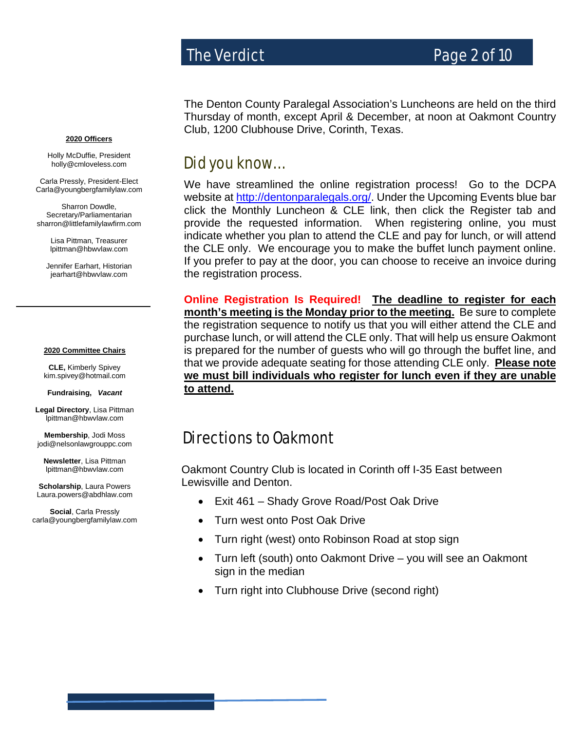# The Verdict **Page 2 of 10**

**2020 Officers**

Holly McDuffie, President holly@cmloveless.com

Carla Pressly, President-Elect Carla@youngbergfamilylaw.com

Sharron Dowdle, Secretary/Parliamentarian sharron@littlefamilylawfirm.com

> Lisa Pittman, Treasurer [lpittman@hbwvlaw.com](mailto:lpittman@hbwvlaw.com)

Jennifer Earhart, Historian jearhart@hbwvlaw.com

#### **2020 Committee Chairs**

**CLE,** Kimberly Spivey [kim.spivey@hotmail.com](mailto:kim.spivey@hotmail.com)

**Fundraising,** *Vacant*

**Legal Directory**, Lisa Pittman lpittman@hbwvlaw.com

**Membership**, Jodi Moss [jodi@nelsonlawgrouppc.com](mailto:hollyhobbie79@gmail.com)

**Newsletter**, Lisa Pittman [lpittman@hbwvlaw.com](mailto:lpittman@hbwvlaw.com)

**Scholarship**, Laura Powers Laura.powers@abdhlaw.com

**Social**, Carla Pressly carla@youngbergfamilylaw.com The Denton County Paralegal Association's Luncheons are held on the third Thursday of month, except April & December, at noon at Oakmont Country Club, 1200 Clubhouse Drive, Corinth, Texas.

# Did you know…

We have streamlined the online registration process! Go to the DCPA website at [http://dentonparalegals.org/.](http://dentonparalegals.org/) Under the Upcoming Events blue bar click the Monthly Luncheon & CLE link, then click the Register tab and provide the requested information. When registering online, you must indicate whether you plan to attend the CLE and pay for lunch, or will attend the CLE only. We encourage you to make the buffet lunch payment online. If you prefer to pay at the door, you can choose to receive an invoice during the registration process.

**Online Registration Is Required! The deadline to register for each month's meeting is the Monday prior to the meeting.** Be sure to complete the registration sequence to notify us that you will either attend the CLE and purchase lunch, or will attend the CLE only. That will help us ensure Oakmont is prepared for the number of guests who will go through the buffet line, and that we provide adequate seating for those attending CLE only. **Please note we must bill individuals who register for lunch even if they are unable to attend.**

# Directions to Oakmont

Oakmont Country Club is located in Corinth off I-35 East between Lewisville and Denton.  $\overline{\phantom{0}}$ 

- Exit 461 Shady Grove Road/Post Oak Drive
- Turn west onto Post Oak Drive
- Turn right (west) onto Robinson Road at stop sign
- Turn left (south) onto Oakmont Drive you will see an Oakmont sign in the median
- Turn right into Clubhouse Drive (second right)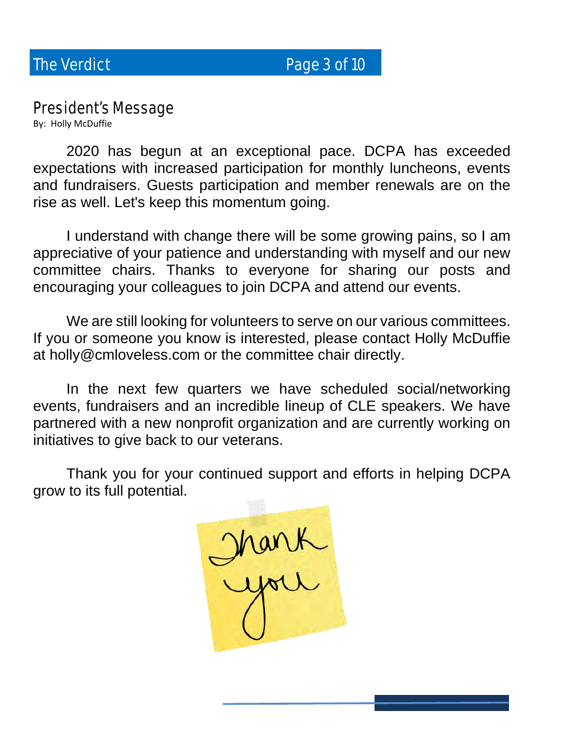The Verdict **Page 3 of 10** 

# President's Message

By: Holly McDuffie

2020 has begun at an exceptional pace. DCPA has exceeded expectations with increased participation for monthly luncheons, events and fundraisers. Guests participation and member renewals are on the rise as well. Let's keep this momentum going.

I understand with change there will be some growing pains, so I am appreciative of your patience and understanding with myself and our new committee chairs. Thanks to everyone for sharing our posts and encouraging your colleagues to join DCPA and attend our events.

We are still looking for volunteers to serve on our various committees. If you or someone you know is interested, please contact Holly McDuffie at holly@cmloveless.com or the committee chair directly.

In the next few quarters we have scheduled social/networking events, fundraisers and an incredible lineup of CLE speakers. We have partnered with a new nonprofit organization and are currently working on initiatives to give back to our veterans.

 Thank you for your continued support and efforts in helping DCPA grow to its full potential.

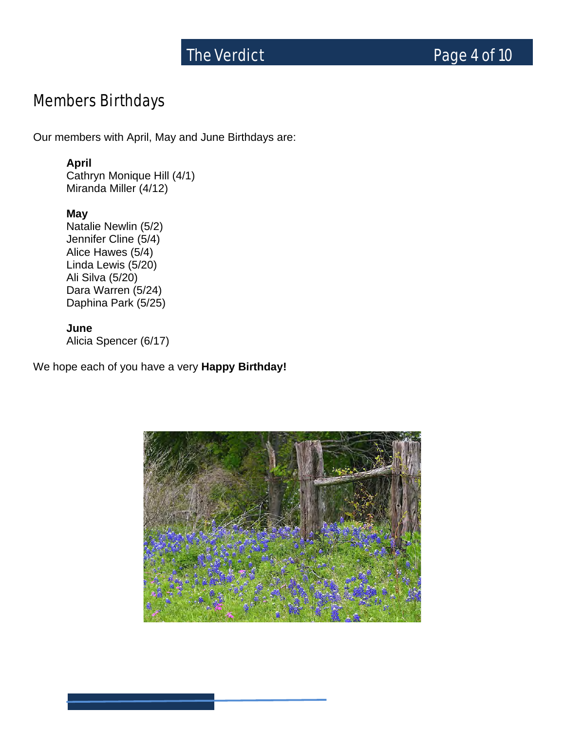# The Verdict **Page 4 of 10**

# Members Birthdays

Our members with April, May and June Birthdays are:

### **April**

Cathryn Monique Hill (4/1) Miranda Miller (4/12)

### **May**

Natalie Newlin (5/2) Jennifer Cline (5/4) Alice Hawes (5/4) Linda Lewis (5/20) Ali Silva (5/20) Dara Warren (5/24) Daphina Park (5/25)

#### **June**

Alicia Spencer (6/17)

We hope each of you have a very **Happy Birthday!** 

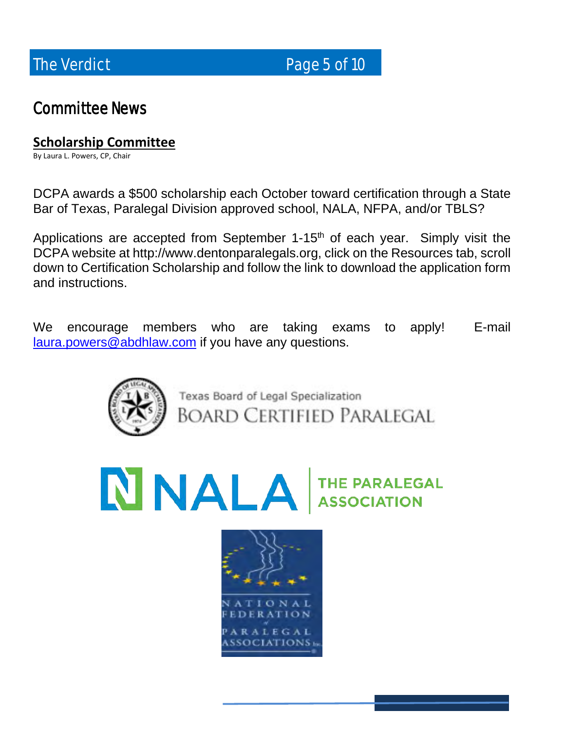The Verdict **Page 5 of 10** 

# Committee News

# **Scholarship Committee**

By Laura L. Powers, CP, Chair

DCPA awards a \$500 scholarship each October toward certification through a State Bar of Texas, Paralegal Division approved school, NALA, NFPA, and/or TBLS?

Applications are accepted from September  $1-15<sup>th</sup>$  of each year. Simply visit the DCPA website at http://www.dentonparalegals.org, click on the Resources tab, scroll down to Certification Scholarship and follow the link to download the application form and instructions.

We encourage members who are taking exams to apply! E-mail [laura.powers@abdhlaw.com](mailto:laura.powers@abdhlaw.com) if you have any questions.



Texas Board of Legal Specialization **BOARD CERTIFIED PARALEGAL** 

NALA THE PARALEGAL

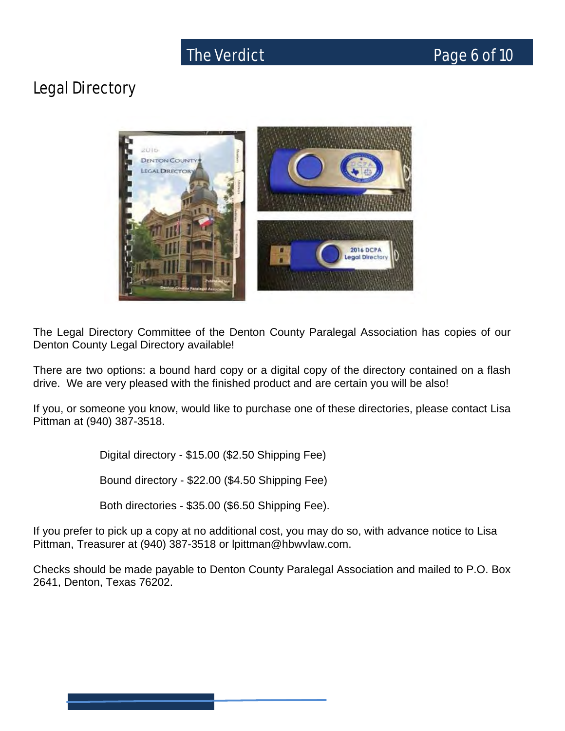# Legal Directory



The Legal Directory Committee of the Denton County Paralegal Association has copies of our Denton County Legal Directory available!

There are two options: a bound hard copy or a digital copy of the directory contained on a flash drive. We are very pleased with the finished product and are certain you will be also!

If you, or someone you know, would like to purchase one of these directories, please contact Lisa Pittman at (940) 387-3518.

Digital directory - \$15.00 (\$2.50 Shipping Fee)

Bound directory - \$22.00 (\$4.50 Shipping Fee)

Both directories - \$35.00 (\$6.50 Shipping Fee).

If you prefer to pick up a copy at no additional cost, you may do so, with advance notice to Lisa Pittman, Treasurer at (940) 387-3518 or lpittman@hbwvlaw.com.

Checks should be made payable to Denton County Paralegal Association and mailed to P.O. Box 2641, Denton, Texas 76202.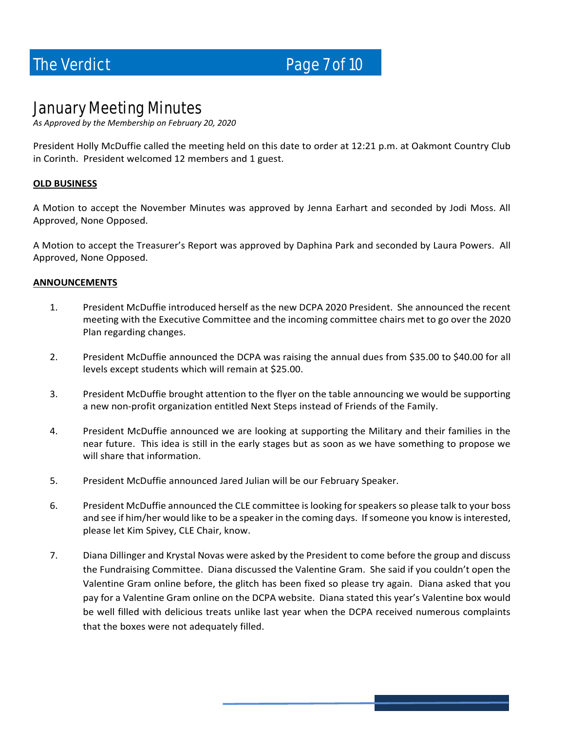The Verdict **Page 7 of 10** 

# January Meeting Minutes

*As Approved by the Membership on February 20, 2020*

President Holly McDuffie called the meeting held on this date to order at 12:21 p.m. at Oakmont Country Club in Corinth. President welcomed 12 members and 1 guest.

#### **OLD BUSINESS**

A Motion to accept the November Minutes was approved by Jenna Earhart and seconded by Jodi Moss. All Approved, None Opposed.

A Motion to accept the Treasurer's Report was approved by Daphina Park and seconded by Laura Powers. All Approved, None Opposed.

#### **ANNOUNCEMENTS**

- 1. President McDuffie introduced herself as the new DCPA 2020 President. She announced the recent meeting with the Executive Committee and the incoming committee chairs met to go over the 2020 Plan regarding changes.
- 2. President McDuffie announced the DCPA was raising the annual dues from \$35.00 to \$40.00 for all levels except students which will remain at \$25.00.
- 3. President McDuffie brought attention to the flyer on the table announcing we would be supporting a new non-profit organization entitled Next Steps instead of Friends of the Family.
- 4. President McDuffie announced we are looking at supporting the Military and their families in the near future. This idea is still in the early stages but as soon as we have something to propose we will share that information.
- 5. President McDuffie announced Jared Julian will be our February Speaker.
- 6. President McDuffie announced the CLE committee is looking for speakers so please talk to your boss and see if him/her would like to be a speaker in the coming days. If someone you know is interested, please let Kim Spivey, CLE Chair, know.
- 7. Diana Dillinger and Krystal Novas were asked by the President to come before the group and discuss the Fundraising Committee. Diana discussed the Valentine Gram. She said if you couldn't open the Valentine Gram online before, the glitch has been fixed so please try again. Diana asked that you pay for a Valentine Gram online on the DCPA website. Diana stated this year's Valentine box would be well filled with delicious treats unlike last year when the DCPA received numerous complaints that the boxes were not adequately filled.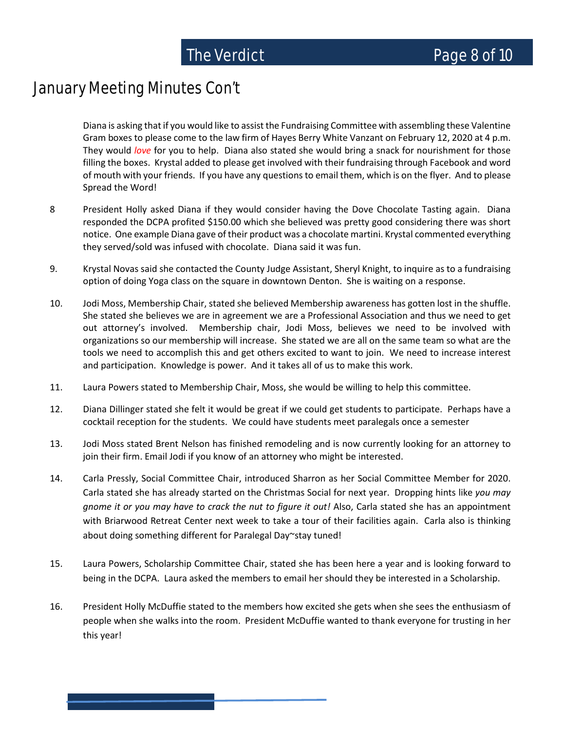# January Meeting Minutes Con't

Diana is asking that if you would like to assist the Fundraising Committee with assembling these Valentine Gram boxes to please come to the law firm of Hayes Berry White Vanzant on February 12, 2020 at 4 p.m. They would *love* for you to help. Diana also stated she would bring a snack for nourishment for those filling the boxes. Krystal added to please get involved with their fundraising through Facebook and word of mouth with your friends. If you have any questions to email them, which is on the flyer. And to please Spread the Word!

- 8 President Holly asked Diana if they would consider having the Dove Chocolate Tasting again. Diana responded the DCPA profited \$150.00 which she believed was pretty good considering there was short notice. One example Diana gave of their product was a chocolate martini. Krystal commented everything they served/sold was infused with chocolate. Diana said it was fun.
- 9. Krystal Novas said she contacted the County Judge Assistant, Sheryl Knight, to inquire as to a fundraising option of doing Yoga class on the square in downtown Denton. She is waiting on a response.
- 10. Jodi Moss, Membership Chair, stated she believed Membership awareness has gotten lost in the shuffle. She stated she believes we are in agreement we are a Professional Association and thus we need to get out attorney's involved. Membership chair, Jodi Moss, believes we need to be involved with organizations so our membership will increase. She stated we are all on the same team so what are the tools we need to accomplish this and get others excited to want to join. We need to increase interest and participation. Knowledge is power. And it takes all of us to make this work.
- 11. Laura Powers stated to Membership Chair, Moss, she would be willing to help this committee.
- 12. Diana Dillinger stated she felt it would be great if we could get students to participate. Perhaps have a cocktail reception for the students. We could have students meet paralegals once a semester
- 13. Jodi Moss stated Brent Nelson has finished remodeling and is now currently looking for an attorney to join their firm. Email Jodi if you know of an attorney who might be interested.
- 14. Carla Pressly, Social Committee Chair, introduced Sharron as her Social Committee Member for 2020. Carla stated she has already started on the Christmas Social for next year. Dropping hints like *you may gnome it or you may have to crack the nut to figure it out!* Also, Carla stated she has an appointment with Briarwood Retreat Center next week to take a tour of their facilities again. Carla also is thinking about doing something different for Paralegal Day~stay tuned!
- 15. Laura Powers, Scholarship Committee Chair, stated she has been here a year and is looking forward to being in the DCPA. Laura asked the members to email her should they be interested in a Scholarship.
- 16. President Holly McDuffie stated to the members how excited she gets when she sees the enthusiasm of people when she walks into the room. President McDuffie wanted to thank everyone for trusting in her this year!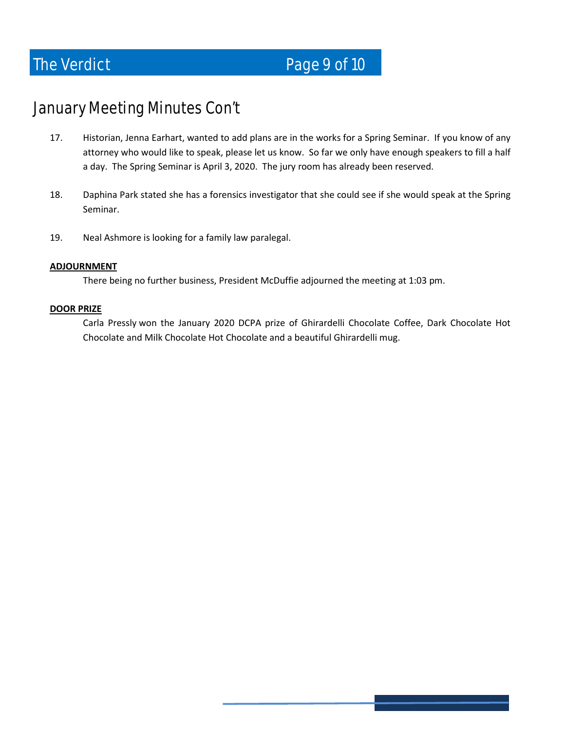# January Meeting Minutes Con't

- 17. Historian, Jenna Earhart, wanted to add plans are in the works for a Spring Seminar. If you know of any attorney who would like to speak, please let us know. So far we only have enough speakers to fill a half a day. The Spring Seminar is April 3, 2020. The jury room has already been reserved.
- 18. Daphina Park stated she has a forensics investigator that she could see if she would speak at the Spring Seminar.
- 19. Neal Ashmore is looking for a family law paralegal.

#### **ADJOURNMENT**

There being no further business, President McDuffie adjourned the meeting at 1:03 pm.

#### **DOOR PRIZE**

Carla Pressly won the January 2020 DCPA prize of Ghirardelli Chocolate Coffee, Dark Chocolate Hot Chocolate and Milk Chocolate Hot Chocolate and a beautiful Ghirardelli mug.